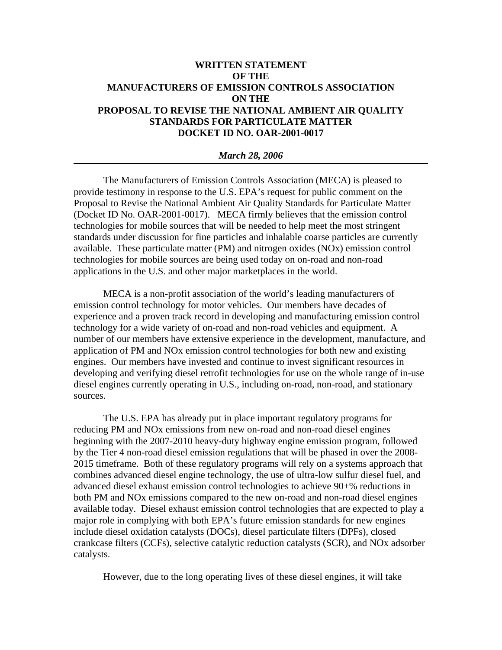# **WRITTEN STATEMENT OF THE MANUFACTURERS OF EMISSION CONTROLS ASSOCIATION ON THE PROPOSAL TO REVISE THE NATIONAL AMBIENT AIR QUALITY STANDARDS FOR PARTICULATE MATTER DOCKET ID NO. OAR-2001-0017**

#### *March 28, 2006*

The Manufacturers of Emission Controls Association (MECA) is pleased to provide testimony in response to the U.S. EPA's request for public comment on the Proposal to Revise the National Ambient Air Quality Standards for Particulate Matter (Docket ID No. OAR-2001-0017). MECA firmly believes that the emission control technologies for mobile sources that will be needed to help meet the most stringent standards under discussion for fine particles and inhalable coarse particles are currently available. These particulate matter (PM) and nitrogen oxides (NOx) emission control technologies for mobile sources are being used today on on-road and non-road applications in the U.S. and other major marketplaces in the world.

MECA is a non-profit association of the world's leading manufacturers of emission control technology for motor vehicles. Our members have decades of experience and a proven track record in developing and manufacturing emission control technology for a wide variety of on-road and non-road vehicles and equipment. A number of our members have extensive experience in the development, manufacture, and application of PM and NOx emission control technologies for both new and existing engines. Our members have invested and continue to invest significant resources in developing and verifying diesel retrofit technologies for use on the whole range of in-use diesel engines currently operating in U.S., including on-road, non-road, and stationary sources.

The U.S. EPA has already put in place important regulatory programs for reducing PM and NOx emissions from new on-road and non-road diesel engines beginning with the 2007-2010 heavy-duty highway engine emission program, followed by the Tier 4 non-road diesel emission regulations that will be phased in over the 2008- 2015 timeframe. Both of these regulatory programs will rely on a systems approach that combines advanced diesel engine technology, the use of ultra-low sulfur diesel fuel, and advanced diesel exhaust emission control technologies to achieve 90+% reductions in both PM and NOx emissions compared to the new on-road and non-road diesel engines available today. Diesel exhaust emission control technologies that are expected to play a major role in complying with both EPA's future emission standards for new engines include diesel oxidation catalysts (DOCs), diesel particulate filters (DPFs), closed crankcase filters (CCFs), selective catalytic reduction catalysts (SCR), and NOx adsorber catalysts.

However, due to the long operating lives of these diesel engines, it will take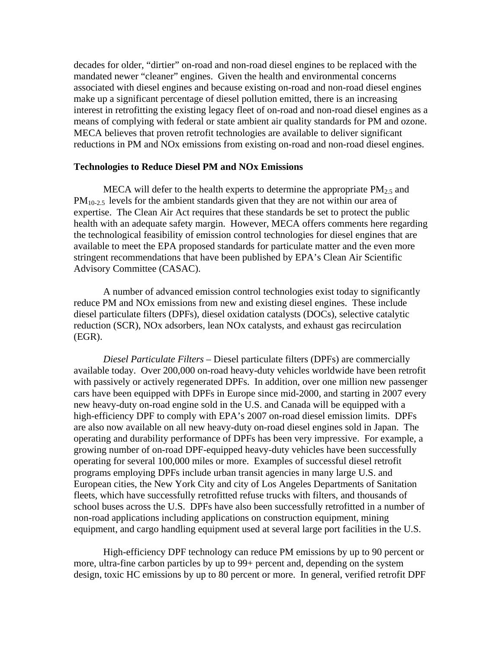decades for older, "dirtier" on-road and non-road diesel engines to be replaced with the mandated newer "cleaner" engines. Given the health and environmental concerns associated with diesel engines and because existing on-road and non-road diesel engines make up a significant percentage of diesel pollution emitted, there is an increasing interest in retrofitting the existing legacy fleet of on-road and non-road diesel engines as a means of complying with federal or state ambient air quality standards for PM and ozone. MECA believes that proven retrofit technologies are available to deliver significant reductions in PM and NOx emissions from existing on-road and non-road diesel engines.

## **Technologies to Reduce Diesel PM and NOx Emissions**

MECA will defer to the health experts to determine the appropriate  $PM_{2.5}$  and  $PM_{10-2.5}$  levels for the ambient standards given that they are not within our area of expertise. The Clean Air Act requires that these standards be set to protect the public health with an adequate safety margin. However, MECA offers comments here regarding the technological feasibility of emission control technologies for diesel engines that are available to meet the EPA proposed standards for particulate matter and the even more stringent recommendations that have been published by EPA's Clean Air Scientific Advisory Committee (CASAC).

A number of advanced emission control technologies exist today to significantly reduce PM and NOx emissions from new and existing diesel engines. These include diesel particulate filters (DPFs), diesel oxidation catalysts (DOCs), selective catalytic reduction (SCR), NOx adsorbers, lean NOx catalysts, and exhaust gas recirculation (EGR).

*Diesel Particulate Filters –* Diesel particulate filters (DPFs) are commercially available today. Over 200,000 on-road heavy-duty vehicles worldwide have been retrofit with passively or actively regenerated DPFs. In addition, over one million new passenger cars have been equipped with DPFs in Europe since mid-2000, and starting in 2007 every new heavy-duty on-road engine sold in the U.S. and Canada will be equipped with a high-efficiency DPF to comply with EPA's 2007 on-road diesel emission limits. DPFs are also now available on all new heavy-duty on-road diesel engines sold in Japan. The operating and durability performance of DPFs has been very impressive. For example, a growing number of on-road DPF-equipped heavy-duty vehicles have been successfully operating for several 100,000 miles or more. Examples of successful diesel retrofit programs employing DPFs include urban transit agencies in many large U.S. and European cities, the New York City and city of Los Angeles Departments of Sanitation fleets, which have successfully retrofitted refuse trucks with filters, and thousands of school buses across the U.S. DPFs have also been successfully retrofitted in a number of non-road applications including applications on construction equipment, mining equipment, and cargo handling equipment used at several large port facilities in the U.S.

High-efficiency DPF technology can reduce PM emissions by up to 90 percent or more, ultra-fine carbon particles by up to 99+ percent and, depending on the system design, toxic HC emissions by up to 80 percent or more. In general, verified retrofit DPF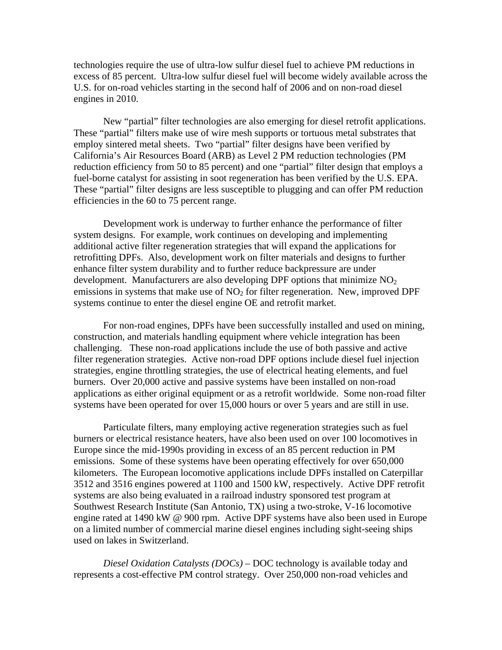technologies require the use of ultra-low sulfur diesel fuel to achieve PM reductions in excess of 85 percent. Ultra-low sulfur diesel fuel will become widely available across the U.S. for on-road vehicles starting in the second half of 2006 and on non-road diesel engines in 2010.

New "partial" filter technologies are also emerging for diesel retrofit applications. These "partial" filters make use of wire mesh supports or tortuous metal substrates that employ sintered metal sheets. Two "partial" filter designs have been verified by California's Air Resources Board (ARB) as Level 2 PM reduction technologies (PM reduction efficiency from 50 to 85 percent) and one "partial" filter design that employs a fuel-borne catalyst for assisting in soot regeneration has been verified by the U.S. EPA. These "partial" filter designs are less susceptible to plugging and can offer PM reduction efficiencies in the 60 to 75 percent range.

Development work is underway to further enhance the performance of filter system designs. For example, work continues on developing and implementing additional active filter regeneration strategies that will expand the applications for retrofitting DPFs. Also, development work on filter materials and designs to further enhance filter system durability and to further reduce backpressure are under development. Manufacturers are also developing DPF options that minimize  $NO<sub>2</sub>$ emissions in systems that make use of  $NO<sub>2</sub>$  for filter regeneration. New, improved DPF systems continue to enter the diesel engine OE and retrofit market.

For non-road engines, DPFs have been successfully installed and used on mining, construction, and materials handling equipment where vehicle integration has been challenging. These non-road applications include the use of both passive and active filter regeneration strategies. Active non-road DPF options include diesel fuel injection strategies, engine throttling strategies, the use of electrical heating elements, and fuel burners. Over 20,000 active and passive systems have been installed on non-road applications as either original equipment or as a retrofit worldwide. Some non-road filter systems have been operated for over 15,000 hours or over 5 years and are still in use.

Particulate filters, many employing active regeneration strategies such as fuel burners or electrical resistance heaters, have also been used on over 100 locomotives in Europe since the mid-1990s providing in excess of an 85 percent reduction in PM emissions. Some of these systems have been operating effectively for over 650,000 kilometers. The European locomotive applications include DPFs installed on Caterpillar 3512 and 3516 engines powered at 1100 and 1500 kW, respectively. Active DPF retrofit systems are also being evaluated in a railroad industry sponsored test program at Southwest Research Institute (San Antonio, TX) using a two-stroke, V-16 locomotive engine rated at 1490 kW @ 900 rpm. Active DPF systems have also been used in Europe on a limited number of commercial marine diesel engines including sight-seeing ships used on lakes in Switzerland.

*Diesel Oxidation Catalysts (DOCs)* – DOC technology is available today and represents a cost-effective PM control strategy. Over 250,000 non-road vehicles and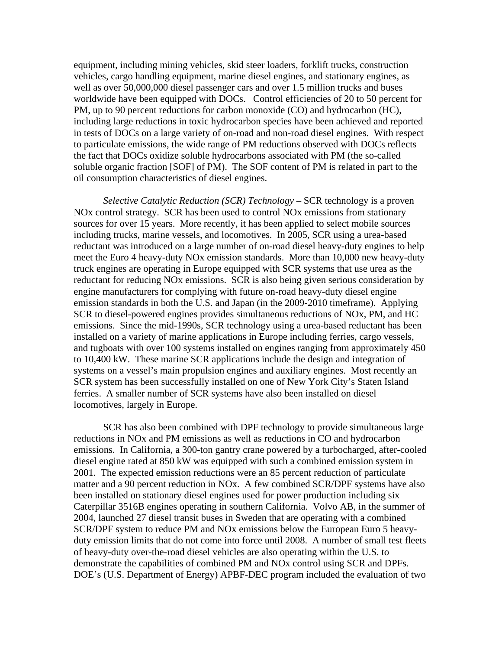equipment, including mining vehicles, skid steer loaders, forklift trucks, construction vehicles, cargo handling equipment, marine diesel engines, and stationary engines, as well as over 50,000,000 diesel passenger cars and over 1.5 million trucks and buses worldwide have been equipped with DOCs. Control efficiencies of 20 to 50 percent for PM, up to 90 percent reductions for carbon monoxide (CO) and hydrocarbon (HC), including large reductions in toxic hydrocarbon species have been achieved and reported in tests of DOCs on a large variety of on-road and non-road diesel engines. With respect to particulate emissions, the wide range of PM reductions observed with DOCs reflects the fact that DOCs oxidize soluble hydrocarbons associated with PM (the so-called soluble organic fraction [SOF] of PM). The SOF content of PM is related in part to the oil consumption characteristics of diesel engines.

*Selective Catalytic Reduction (SCR) Technology* **–** SCR technology is a proven NOx control strategy. SCR has been used to control NOx emissions from stationary sources for over 15 years. More recently, it has been applied to select mobile sources including trucks, marine vessels, and locomotives. In 2005, SCR using a urea-based reductant was introduced on a large number of on-road diesel heavy-duty engines to help meet the Euro 4 heavy-duty NOx emission standards. More than 10,000 new heavy-duty truck engines are operating in Europe equipped with SCR systems that use urea as the reductant for reducing NOx emissions. SCR is also being given serious consideration by engine manufacturers for complying with future on-road heavy-duty diesel engine emission standards in both the U.S. and Japan (in the 2009-2010 timeframe). Applying SCR to diesel-powered engines provides simultaneous reductions of NOx, PM, and HC emissions. Since the mid-1990s, SCR technology using a urea-based reductant has been installed on a variety of marine applications in Europe including ferries, cargo vessels, and tugboats with over 100 systems installed on engines ranging from approximately 450 to 10,400 kW. These marine SCR applications include the design and integration of systems on a vessel's main propulsion engines and auxiliary engines. Most recently an SCR system has been successfully installed on one of New York City's Staten Island ferries. A smaller number of SCR systems have also been installed on diesel locomotives, largely in Europe.

SCR has also been combined with DPF technology to provide simultaneous large reductions in NOx and PM emissions as well as reductions in CO and hydrocarbon emissions. In California, a 300-ton gantry crane powered by a turbocharged, after-cooled diesel engine rated at 850 kW was equipped with such a combined emission system in 2001. The expected emission reductions were an 85 percent reduction of particulate matter and a 90 percent reduction in NOx. A few combined SCR/DPF systems have also been installed on stationary diesel engines used for power production including six Caterpillar 3516B engines operating in southern California. Volvo AB, in the summer of 2004, launched 27 diesel transit buses in Sweden that are operating with a combined SCR/DPF system to reduce PM and NOx emissions below the European Euro 5 heavyduty emission limits that do not come into force until 2008. A number of small test fleets of heavy-duty over-the-road diesel vehicles are also operating within the U.S. to demonstrate the capabilities of combined PM and NOx control using SCR and DPFs. DOE's (U.S. Department of Energy) APBF-DEC program included the evaluation of two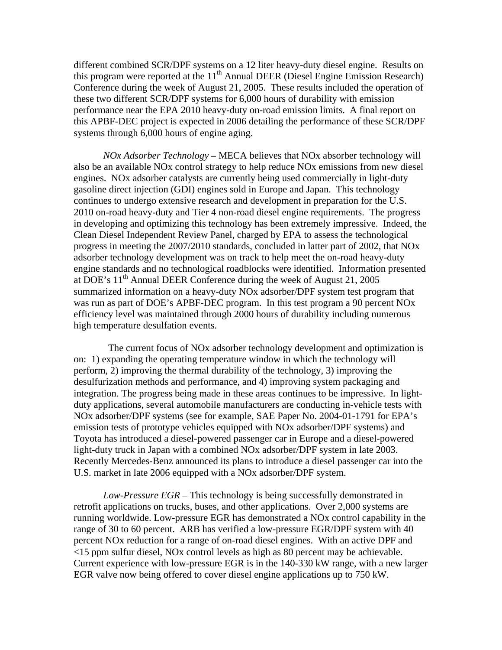different combined SCR/DPF systems on a 12 liter heavy-duty diesel engine. Results on this program were reported at the 11<sup>th</sup> Annual DEER (Diesel Engine Emission Research) Conference during the week of August 21, 2005. These results included the operation of these two different SCR/DPF systems for 6,000 hours of durability with emission performance near the EPA 2010 heavy-duty on-road emission limits. A final report on this APBF-DEC project is expected in 2006 detailing the performance of these SCR/DPF systems through 6,000 hours of engine aging.

*NOx Adsorber Technology –* MECA believes that NOx absorber technology will also be an available NOx control strategy to help reduce NOx emissions from new diesel engines. NOx adsorber catalysts are currently being used commercially in light-duty gasoline direct injection (GDI) engines sold in Europe and Japan. This technology continues to undergo extensive research and development in preparation for the U.S. 2010 on-road heavy-duty and Tier 4 non-road diesel engine requirements. The progress in developing and optimizing this technology has been extremely impressive. Indeed, the Clean Diesel Independent Review Panel, charged by EPA to assess the technological progress in meeting the 2007/2010 standards, concluded in latter part of 2002, that NOx adsorber technology development was on track to help meet the on-road heavy-duty engine standards and no technological roadblocks were identified. Information presented at DOE's  $11<sup>th</sup>$  Annual DEER Conference during the week of August 21, 2005 summarized information on a heavy-duty NOx adsorber/DPF system test program that was run as part of DOE's APBF-DEC program. In this test program a 90 percent NOx efficiency level was maintained through 2000 hours of durability including numerous high temperature desulfation events.

 The current focus of NOx adsorber technology development and optimization is on: 1) expanding the operating temperature window in which the technology will perform, 2) improving the thermal durability of the technology, 3) improving the desulfurization methods and performance, and 4) improving system packaging and integration. The progress being made in these areas continues to be impressive. In lightduty applications, several automobile manufacturers are conducting in-vehicle tests with NOx adsorber/DPF systems (see for example, SAE Paper No. 2004-01-1791 for EPA's emission tests of prototype vehicles equipped with NOx adsorber/DPF systems) and Toyota has introduced a diesel-powered passenger car in Europe and a diesel-powered light-duty truck in Japan with a combined NOx adsorber/DPF system in late 2003. Recently Mercedes-Benz announced its plans to introduce a diesel passenger car into the U.S. market in late 2006 equipped with a NOx adsorber/DPF system.

*Low-Pressure EGR* – This technology is being successfully demonstrated in retrofit applications on trucks, buses, and other applications. Over 2,000 systems are running worldwide. Low-pressure EGR has demonstrated a NOx control capability in the range of 30 to 60 percent. ARB has verified a low-pressure EGR/DPF system with 40 percent NOx reduction for a range of on-road diesel engines. With an active DPF and <15 ppm sulfur diesel, NOx control levels as high as 80 percent may be achievable. Current experience with low-pressure EGR is in the 140-330 kW range, with a new larger EGR valve now being offered to cover diesel engine applications up to 750 kW.